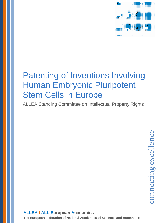

# Patenting of Inventions Involving Human Embryonic Pluripotent Stem Cells in Europe

ALLEA Standing Committee on Intellectual Property Rights

# **ALLEA I ALL European Academies**

**The European Federation of National Academies of Sciences and Humanities**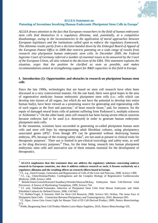

#### **ALLEA Statement on**

## Patenting of Inventions Involving Human Embryonic Pluripotent Stem Cells in Europe<sup>1</sup>

*ALLEA draws attention to the fact that European researchers in the field of human embryonic stem cells find themselves in a regulatory dilemma, and, potentially, at a competitive disadvantage, owing to the inconsistencies in the application of moral approaches between European legislators and the institutions called upon to enforce the regulatory framework. This dilemma results partly from a decision handed down by the Enlarged Board of Appeal of the European Patent Office in 2008 that restricts patenting on a wide range of results from research into pluripotent human embryonic stem cells. In December 2009, the Federal Supreme Court of Germany referred a number of essential issues to be answered by the Court of the European Union, all also related to the decision of the EBA. This statement explains the situation, urges that the position be clarified as soon as possible, and makes recommendations aimed at strengthening support for R&D capacities in this field in Europe.*

#### **I. Introduction (1): Opportunities and obstacles in research on pluripotent human stem cells**

Since the late 1990s, technologies that are based on stem cell research have often been discussed in a very controversial manner. On the one hand, there were great hopes in the area of regenerative medicine: human embryonic pluripotent stem cells (i.e.: cells which can develop into tissues of all organs, but which do not have the potential to develop into entire human body), have been viewed as a promising source for generating and regenerating cells of such organs as the liver and pancreas,<sup>2</sup> of heart muscle tissue,<sup>3</sup> and, for instance, for the repair of damaged neural brain cells of patients suffering from Parkinson's, multiple sclerosis or Alzheimer's.<sup>4</sup> On the other hand, stem cell research has been facing severe ethical concerns because embryos had to be used (i.e. destroyed) in order to generate human embryonic pluripotent stem cells.

In the meantime, scientists have succeeded in generating so-called pluripotent human stem cells and stem cell lines by reprogramming adult fibroblast cultures, using pluripotency associated genes  $(iPS)^5$ . Even though  $iPS$  can be generated without destroying human embryos, iPS, because of the existing safety risks<sup>6</sup>, are not used at present in clinical trials for therapeutic purposes<sup>7</sup>. Their use is limited to pre-clinical toxicology and safety tests, as well as for drug discovery purposes.<sup>8</sup> Thus, for the time being, research into human pluripotent embryonic stem cells and innovative use of them remains essential for the development of therapeutics.

<sup>1</sup> **ALLEA emphasizes that this statement does not address the regulatory solutions concerning embryo research in European countries, nor does it address embryo research as such; it focuses exclusively on a regulatory dilemma and the resulting effects on research efforts based in Europe***.*

<sup>2</sup> Cf., e.g., Zaret/Grompe, Generation and Regeneration of Cells of the Liver and Pancreas, 2008, *Science* 1490.

<sup>&</sup>lt;sup>3</sup> Cf., e.g., Chien/Domian/Parker, Cardiogenesis and the Complex Biology of Regenerative Cardiovascular Medicine, 2008, *Science* 1494.

<sup>4</sup> Brüstle/Jones/Learish/Karram/Choudhary/Wiestler/Duncan/McKay, Embryonic Stem Cell-Derived Glial Precursors: A Source of Myelinating Transplants, 1999, *Science* 754.

<sup>5</sup> Cf. only Takahashi/Yamanaka, Induction of Pluripotent Stem Cells from Mouse Embryonic and Adult Fibroblast Cultures by Defined Factors, 2006, *Cell* 663.

<sup>6</sup> Cf. Holden/Vogel, A Seizemic Shift for Stem Cell Research, 2008, *Science* 561; Wobus, The Janus Face of Pluripotent Stem Cells – Connection Between Pluripotency and Tumourigenicity, 2010, *Bioassays* 993.

<sup>7</sup> Cf. Alper, Geron Gets Green Light for Human Trial of ES Cell-Derived Product, 2009, *Nature Biotechnology* 213.

<sup>8</sup> Webb, Burgeoning Stem Cell Product Market Lures Major Suppliers, 2010, *Nature Biotechnology* 535.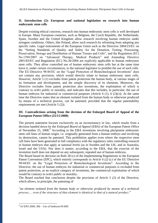# **II. Introduction (2): European and national legislation on research into human embryonic stem cells**

Despite existing ethical concerns, research into human embryonic stem cells is well developed in Europe. Many European countries, such as Belgium, the Czech Republic, the Netherlands, Spain, Sweden and the United Kingdom allow research involving human embryos under stringent conditions. Others, like Poland, allow such research by refraining from adopting any specific rules. Legal instruments of the European Union such as the Directive 2004/23/EC on the "Setting Standards of Quality and Safety for the Donation, Testing, Processing, Preservation, Storage and Distribution of Human Tissues and Cells", and the Regulation (EC) No.1394/2007 on "Advanced Therapy, Medical Products" and Amending Directive 2001/83/EC and Regulation (EC) No.26/2004 are explicitly applicable to human embryonic stem cells: They allow controlled use of human embryonic stem cells but at the same time leave it, under certain circumstances, to the national legislator to prohibit the use of such cells. The EU-Directive 98/44/EC on the "Legal Protection of Biotechnological Inventions" does not contain any provision, which would directly relate to human embryonic stem cells. However, Article 5 (1) excludes from patent protection the human body, at various stages of its formation and development, and the simple discovery of its elements. Moreover, the Directive excludes from patent protection also inventions, the exploitation of which is contrary to *ordre public* or morality, and indicates that this includes, in particular, the use of human embryos for industrial or commercial purposes (Article 6 (1), 6 (2)(c)). At the same time the Directive states that an element isolated from the human body or otherwise produced by means of a technical process, can be patented, provided that the regular patentability requirements are met (Article 5 (2)).

## **III. Contradictions arising from the decision of the Enlarged Board of Appeal of the European Patent Office (25/11/2008)**

The present statement focuses exclusively on an inconsistency in law, which results from a decision handed down by the *Enlarged Board of Appeal* (EBA) of the European Patent Office of November 25, 2008.<sup>9</sup> According to the EBA inventions involving pluripotent embryonic stem cell lines of human origin, i.e. originally generated from a human embryo and involving its destruction, cannot be patented. This prohibition applies even where the respective stem cell lines have been generated in full compliance with the regulatory rules controlling research in human embryos that apply at national levels (as in Sweden and the UK; and in Australia, Israel and the USA). Nor does it matter, according to the EBA, that the exercise of the invention itself does not depend on any subsequent, repeated use of human embryos.

The Board based its decision on Rule 28 (c) of the Implementing Regulations to the European Patent Convention (EPC), which entirely corresponds to *Article 6 (2) (c)* of the EU Directive 98/44/EC on the "Legal Protection of Biotechnological Inventions". According to the Directive, the use of human embryos for industrial or commercial purposes is excluded from patent protection, as an explicit category of inventions, the commercial exploitation of which would be contrary to *ordre public* or morality.

The Board reached that conclusion despite the provision of *Article 5 (2)* of the Directive, which allows, in principle, the patenting of

*"an element isolated from the human body or otherwise produced by means of a technical process,… even if the structure of that element is identical to that of a natural product."*

 $9$  OJ EPO 2009, 306 – Use of Embryos/WARF.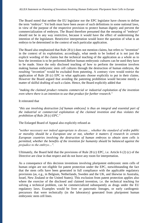The Board noted that neither the EU legislator nor the EPC legislator have chosen to define the term "embryo". Yet both must have been aware of such definitions in some national laws, in view of the purpose of the respective provision to protect human dignity and prevent the commercialization of embryos. The Board therefore presumed that the meaning of "embryo" should not be in any way restrictive, because it would have the effect of undermining the intention of the legislature. Restrictive interpretation would leave the question of what is an embryo to be determined in the context of each particular application.

The Board also emphasized that Rule 28 (c) does not mention claims, but refers to "invention" in the context of its exploitation; accordingly, what needs to be looked at is not just the explicit wording of the claims but the technical teaching of the application as a whole as to how the invention is to be performed.Before human embryonic cultures can be used they have to be made. Since the only disclosed teaching of how to perform the invention involves making human embryonic stem cell cultures through the destruction of human embryos, the resulting "invention" would be excluded from patenting. A contrary view would restrict the application of Rule 28 (c) EPC to what applicants choose explicitly to put in their claims. However the Board argued that avoiding the patenting prohibition would become merely a matter of skilful drafting of such a claim. Hence, the Board explicitly added that

*"making the claimed product remains commercial or industrial exploitation of the invention even where there is an intention to use that product for further research."* 

#### It reiterated that

*"this use involving destruction [of human embryos] is thus an integral and essential part of the industrial or commercial exploitation of the claimed invention and thus violates the prohibition of Rule 28 (c) EPC."* 

#### The Enlarged Board of Appeal also explicitly refused as

*"neither necessary nor indeed appropriate to discuss… whether the standard of ordre public or morality should be a European one or not, whether it matters if research in certain European countries involving the destruction of human embryos to obtain stem cells is permitted, whether the benefits of the invention for humanity should be balanced against the prejudice to the embryo…".* 

Ultimately, the Board held that the provisions of Rule 28 (c) EPC, i.e. Article 6 (2) (c) of the Directive are clear in that respect and do not leave any room for interpretation.

As a consequence of this decision inventions involving pluripotent embryonic stem cells of human origin are not eligible for patent protection under the EPC, notwithstanding the fact that the stem cells have been generated in full compliance with the applicable regulatory provisions (as, e.g., in Belgium, Netherlands, Sweden and the UK, and likewise in Australia, Israel, New Zealand or the United States). This exclusion from patent protection applies also where the exercise of the disclosed and claimed invention, i.e. the technical teaching for solving a technical problem, can be commercialized subsequently as drugs under the EU regulatory laws. Examples would be liver or pancreatic lineages, or early cardiogenic precursors that were technically (in the laboratory) generated from pluripotent human embryonic stem cell lines.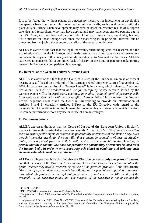It is to be feared that without patents as a necessary incentive for investments in developing therapeutics based on human pluripotent embryonic stem cells, such developments will take place outside Europe. Such developments may even be based on research results of European scientists and researchers, who may have applied and may have been granted patents, e.g. in the US, China, etc., and licensed them outside of Europe. Europe may, eventually, become just a market for those therapeutics, since their marketing is, in principle, allowed, but be prevented from enjoying the economic benefits of the research undertaken.

ALLEA is aware of the fact that the legal uncertainty surrounding stem cell research and the exploitation of its results in Europe has already resulted in a significant move of researchers and research projects in this area (particularly in industry) to Asia and the Americas. ALLEA expresses its concerns that a continued lack of clarity on the issue of patenting risks putting research in Europe at a competitive disadvantage.

#### **IV. Referral of the German Federal Supreme Court**

**ALLEA** is aware of the fact that the Court of Justice of the European Union is at present hearing a case<sup>10</sup> based on a referral of the German Federal Supreme Court of November 12, 2009. In that case the validity of a German Patent<sup>11</sup> is in dispute, which relates to *"neuronal*" *precursors, methods of production and use for therapy of neural defects"*, issued by the German Patent Office in April 1999, claiming, *inter alia*, *"isolated, purified precursor cells from embryonic stem cells with neural or glial characteristics."* In its referral the German Federal Supreme Court asked the Court in Luxembourg to provide an interpretation of Articles 5 and 6, especially Articles 6(2)(c) of the EU Directive with regard to the patentability of inventions involving human pluripotent embryonic stem cells, which function, i.e. can be performed without any use or re-use of human embryos.

#### **V. Recommendations**

**ALLEA** expresses the hope that the **Court of Justice of the European Union** will clarify matters in line with its established case law, namely *"…that Article 5 (2) of the Directive thus seeks to grant specific rights as regards the patentability of elements of the human body. Even though it provides merely for the possibility that a patent be granted, it obliges the Member States, as is apparent from the 17th to 20th recitals in the preamble to the Directive, to provide that their national law does not preclude the patentability of elements isolated from the human body, in order to encourage research aimed at obtaining and isolating such elements valuable to medicinal production."*<sup>12</sup> *.* 

ALLEA also hopes that it be clarified that the Directive **concerns only the grant of patents**, and that the scope of the Directive *"does not therefore extend to activities before and after the*  grant, whether they involve research or the use of the patented product."<sup>13</sup> and that, finally, *"the grant of a patent does not preclude legal limitations or prohibitions applying to research into patentable products or the exploitation of patented products, as the 14th Recital of the Preamble to the Directive points out. The purpose of the Directive is not to replace the* 

<sup>&</sup>lt;sup>10</sup> Case No. C-34/10.

<sup>&</sup>lt;sup>11</sup> DE 19756864 – Inventor and patentee Professor Brüstle.

<sup>&</sup>lt;sup>12</sup> Judgment of 16 June 2005, Case No. -45603, Commission of the European Communities v. Italian Republic, No. 70.

<sup>&</sup>lt;sup>13</sup> Judgment of 9 October 2001, Case No. -377/98, Kingdom of the Netherlands, supported by Italian Republic; and see Kingdom of Norway v. European Parliament and Council of the European Union, supported by Commission of the European Communities, No. 79.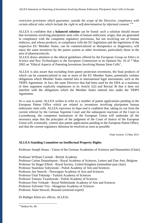*restrictive provisions which guarantee, outside the scope of the Directive, compliance with certain ethical rules which include the right to self-determination by informed consent."*<sup>14</sup>

ALLEA is confident that a **balanced solution** can be found: such a solution should ensure that inventions involving pluripotent stem cells of human embryonic origin, that are generated in compliance with the competent regulatory provisions, but not involving use of human embryos, and whose products, in compliance with the EU legislation and the legislation of the respective EU Member States, can be commercialized as therapeutics or diagnostics, will enjoy the same incentives by the patent system as other inventions, particularly those in the area of pharmaceuticals.

ALLEA draws attention to the ethical guidelines offered by the *European Group on Ethics in Science and New Technologies to the European Commission* in its Opinion No. 16 of 7 May 2002 on "Ethical Aspects of Patenting Inventions Involving Human Stem Cells"..

ALLEA is also aware that excluding from patent protection inventions, the final products of which can be commercialized in one or more of the EU Member States, potentially violates obligations which Member States entered into in international legal instruments, such as the TRIPS Agreement. In fact, the same Directive that had been used by the EBA as a mainstay of their argument explicitly emphasizes in its Article 1(2) and Recital 36 that it does not interfere with the obligations which the Member States entered into under the TRIPS Agreement.

As a case in point, ALLEA wishes to refer to a number of patent applications pending in the European Patent Office which are related to inventions involving pluripotent human embryonic stem cells. ALLEA *expresses its hope and is confident* that, taking its cue from the current referral by the German Supreme Court and the subsequent reactions of the Court in Luxembourg, the competent institutions of the European Union will undertake all the necessary steps that the principles of the judgment of the Court of Justice of the European Union will, eventually, control also patent applications pending in the European Patent Office, and that the current regulatory dilemma be resolved as soon as possible.

Final version: 13 May 2011

## **ALLEA Standing Committee on Intellectual Property Rights**

Professor Joseph Straus - Union of the German Academies of Sciences and Humanities (Chair)

Professor William Cornish - British Academy Professor Carine Doutrelepont - Royal Academy of Sciences, Letters and Fine Arts, Belgium Professor Sir Roger Elliott - Royal Society, United Kingdom (immediate past chair) Professor Stanislaw Soltysinski - Polish Academy of Arts and Sciences Professor Are Stenvik - Norwegian Academy of Arts and Sciences Professor Ünal Tekinalp - Turkish Academy of Sciences Professor Tomasz Twardowski - Polish Academy of Sciences Professor Feer Verkade - Royal Netherlands Academy of Arts and Sciences Professor Sylvester Vizi - Hungarian Academy of Sciences Professor Alain Strowel, Brussels (external expert)

Dr Rüdiger Klein (ex officio, ALLEA)

 $14$  Ibidem No. 80.